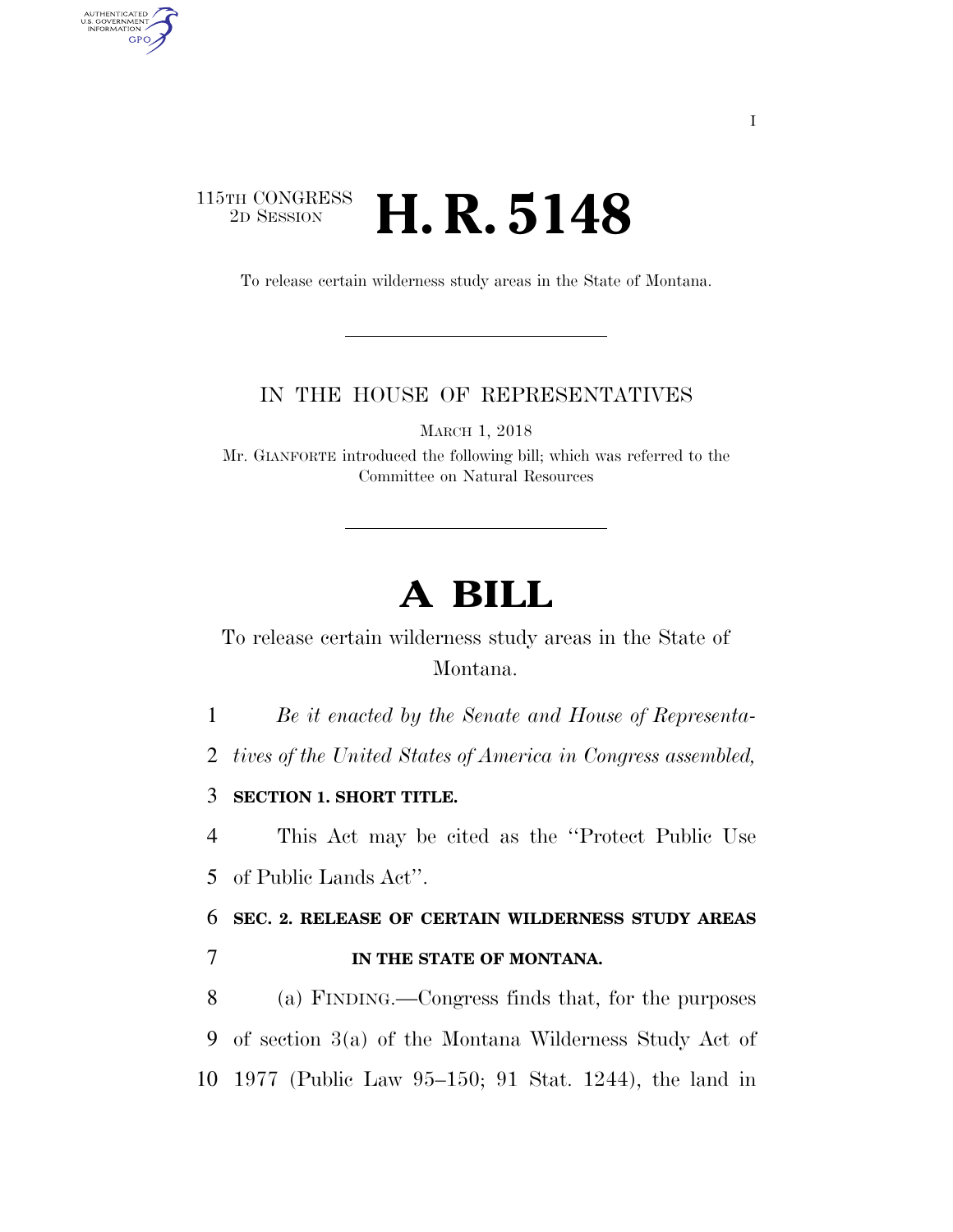## $\begin{array}{c} \textbf{115TH CONGRESS} \\ \textbf{2D} \textbf{Session} \end{array}$ **H. R. 5148**

AUTHENTICATED<br>U.S. GOVERNMENT<br>INFORMATION GPO

To release certain wilderness study areas in the State of Montana.

## IN THE HOUSE OF REPRESENTATIVES

MARCH 1, 2018

Mr. GIANFORTE introduced the following bill; which was referred to the Committee on Natural Resources

## **A BILL**

To release certain wilderness study areas in the State of Montana.

1 *Be it enacted by the Senate and House of Representa-*

2 *tives of the United States of America in Congress assembled,* 

3 **SECTION 1. SHORT TITLE.** 

4 This Act may be cited as the ''Protect Public Use 5 of Public Lands Act''.

6 **SEC. 2. RELEASE OF CERTAIN WILDERNESS STUDY AREAS**  7 **IN THE STATE OF MONTANA.** 

8 (a) FINDING.—Congress finds that, for the purposes 9 of section 3(a) of the Montana Wilderness Study Act of 10 1977 (Public Law 95–150; 91 Stat. 1244), the land in